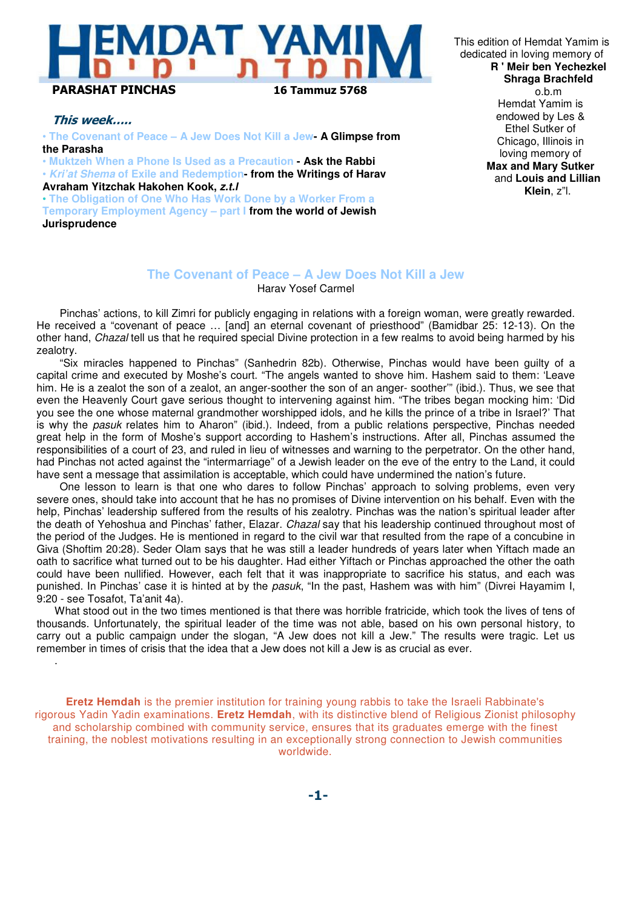# DAT YAN PARASHAT PINCHAS 16 Tammuz 5768

## This week…..

.

 • **The Covenant of Peace – A Jew Does Not Kill a Jew- A Glimpse from the Parasha** 

• **Muktzeh When a Phone Is Used as a Precaution - Ask the Rabbi** • **Kri'at Shema of Exile and Redemption- from the Writings of Harav** 

**Avraham Yitzchak Hakohen Kook, z.t.l**

• **The Obligation of One Who Has Work Done by a Worker From a Temporary Employment Agency – part I from the world of Jewish Jurisprudence** 

This edition of Hemdat Yamim is dedicated in loving memory of **R ' Meir ben Yechezkel Shraga Brachfeld** o.b.m Hemdat Yamim is endowed by Les & Ethel Sutker of Chicago, Illinois in loving memory of **Max and Mary Sutker** and **Louis and Lillian Klein**, z"l.

#### **The Covenant of Peace – A Jew Does Not Kill a Jew** Harav Yosef Carmel

Pinchas' actions, to kill Zimri for publicly engaging in relations with a foreign woman, were greatly rewarded. He received a "covenant of peace … [and] an eternal covenant of priesthood" (Bamidbar 25: 12-13). On the other hand, Chazal tell us that he required special Divine protection in a few realms to avoid being harmed by his zealotry.

"Six miracles happened to Pinchas" (Sanhedrin 82b). Otherwise, Pinchas would have been guilty of a capital crime and executed by Moshe's court. "The angels wanted to shove him. Hashem said to them: 'Leave him. He is a zealot the son of a zealot, an anger-soother the son of an anger- soother'" (ibid.). Thus, we see that even the Heavenly Court gave serious thought to intervening against him. "The tribes began mocking him: 'Did you see the one whose maternal grandmother worshipped idols, and he kills the prince of a tribe in Israel?' That is why the pasuk relates him to Aharon" (ibid.). Indeed, from a public relations perspective, Pinchas needed great help in the form of Moshe's support according to Hashem's instructions. After all, Pinchas assumed the responsibilities of a court of 23, and ruled in lieu of witnesses and warning to the perpetrator. On the other hand, had Pinchas not acted against the "intermarriage" of a Jewish leader on the eve of the entry to the Land, it could have sent a message that assimilation is acceptable, which could have undermined the nation's future.

One lesson to learn is that one who dares to follow Pinchas' approach to solving problems, even very severe ones, should take into account that he has no promises of Divine intervention on his behalf. Even with the help, Pinchas' leadership suffered from the results of his zealotry. Pinchas was the nation's spiritual leader after the death of Yehoshua and Pinchas' father, Elazar. Chazal say that his leadership continued throughout most of the period of the Judges. He is mentioned in regard to the civil war that resulted from the rape of a concubine in Giva (Shoftim 20:28). Seder Olam says that he was still a leader hundreds of years later when Yiftach made an oath to sacrifice what turned out to be his daughter. Had either Yiftach or Pinchas approached the other the oath could have been nullified. However, each felt that it was inappropriate to sacrifice his status, and each was punished. In Pinchas' case it is hinted at by the pasuk, "In the past, Hashem was with him" (Divrei Hayamim I, 9:20 - see Tosafot, Ta'anit 4a).

What stood out in the two times mentioned is that there was horrible fratricide, which took the lives of tens of thousands. Unfortunately, the spiritual leader of the time was not able, based on his own personal history, to carry out a public campaign under the slogan, "A Jew does not kill a Jew." The results were tragic. Let us remember in times of crisis that the idea that a Jew does not kill a Jew is as crucial as ever.

**Eretz Hemdah** is the premier institution for training young rabbis to take the Israeli Rabbinate's rigorous Yadin Yadin examinations. **Eretz Hemdah**, with its distinctive blend of Religious Zionist philosophy and scholarship combined with community service, ensures that its graduates emerge with the finest training, the noblest motivations resulting in an exceptionally strong connection to Jewish communities worldwide.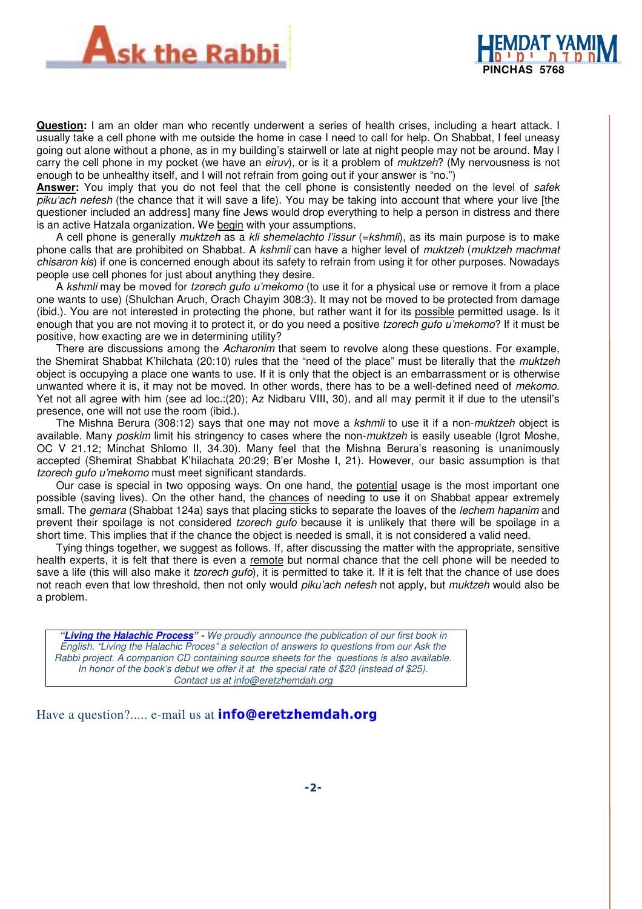



**Question:** I am an older man who recently underwent a series of health crises, including a heart attack. I usually take a cell phone with me outside the home in case I need to call for help. On Shabbat, I feel uneasy going out alone without a phone, as in my building's stairwell or late at night people may not be around. May I carry the cell phone in my pocket (we have an eiruv), or is it a problem of muktzeh? (My nervousness is not enough to be unhealthy itself, and I will not refrain from going out if your answer is "no.")

**Answer:** You imply that you do not feel that the cell phone is consistently needed on the level of safek piku'ach nefesh (the chance that it will save a life). You may be taking into account that where your live [the questioner included an address] many fine Jews would drop everything to help a person in distress and there is an active Hatzala organization. We begin with your assumptions.

A cell phone is generally muktzeh as a kli shemelachto l'issur (=kshmli), as its main purpose is to make phone calls that are prohibited on Shabbat. A kshmli can have a higher level of muktzeh (muktzeh machmat chisaron kis) if one is concerned enough about its safety to refrain from using it for other purposes. Nowadays people use cell phones for just about anything they desire.

A kshmli may be moved for tzorech gufo u'mekomo (to use it for a physical use or remove it from a place one wants to use) (Shulchan Aruch, Orach Chayim 308:3). It may not be moved to be protected from damage (ibid.). You are not interested in protecting the phone, but rather want it for its possible permitted usage. Is it enough that you are not moving it to protect it, or do you need a positive tzorech gufo u'mekomo? If it must be positive, how exacting are we in determining utility?

There are discussions among the Acharonim that seem to revolve along these questions. For example, the Shemirat Shabbat K'hilchata (20:10) rules that the "need of the place" must be literally that the muktzeh object is occupying a place one wants to use. If it is only that the object is an embarrassment or is otherwise unwanted where it is, it may not be moved. In other words, there has to be a well-defined need of mekomo. Yet not all agree with him (see ad loc.:(20); Az Nidbaru VIII, 30), and all may permit it if due to the utensil's presence, one will not use the room (ibid.).

The Mishna Berura (308:12) says that one may not move a kshmli to use it if a non-muktzeh object is available. Many poskim limit his stringency to cases where the non-muktzeh is easily useable (Igrot Moshe, OC V 21.12; Minchat Shlomo II, 34.30). Many feel that the Mishna Berura's reasoning is unanimously accepted (Shemirat Shabbat K'hilachata 20:29; B'er Moshe I, 21). However, our basic assumption is that tzorech gufo u'mekomo must meet significant standards.

Our case is special in two opposing ways. On one hand, the potential usage is the most important one possible (saving lives). On the other hand, the chances of needing to use it on Shabbat appear extremely small. The *gemara* (Shabbat 124a) says that placing sticks to separate the loaves of the *lechem hapanim* and prevent their spoilage is not considered *tzorech gufo* because it is unlikely that there will be spoilage in a short time. This implies that if the chance the object is needed is small, it is not considered a valid need.

Tying things together, we suggest as follows. If, after discussing the matter with the appropriate, sensitive health experts, it is felt that there is even a remote but normal chance that the cell phone will be needed to save a life (this will also make it *tzorech gufo*), it is permitted to take it. If it is felt that the chance of use does not reach even that low threshold, then not only would *piku'ach nefesh* not apply, but *muktzeh* would also be a problem.

**"Living the Halachic Process**" **-** We proudly announce the publication of our first book in English. "Living the Halachic Proces" a selection of answers to questions from our Ask the Rabbi project. A companion CD containing source sheets for the questions is also available. In honor of the book's debut we offer it at the special rate of \$20 (instead of \$25). Contact us at info@eretzhemdah.org

Have a question?..... e-mail us at **info@eretzhemdah.org**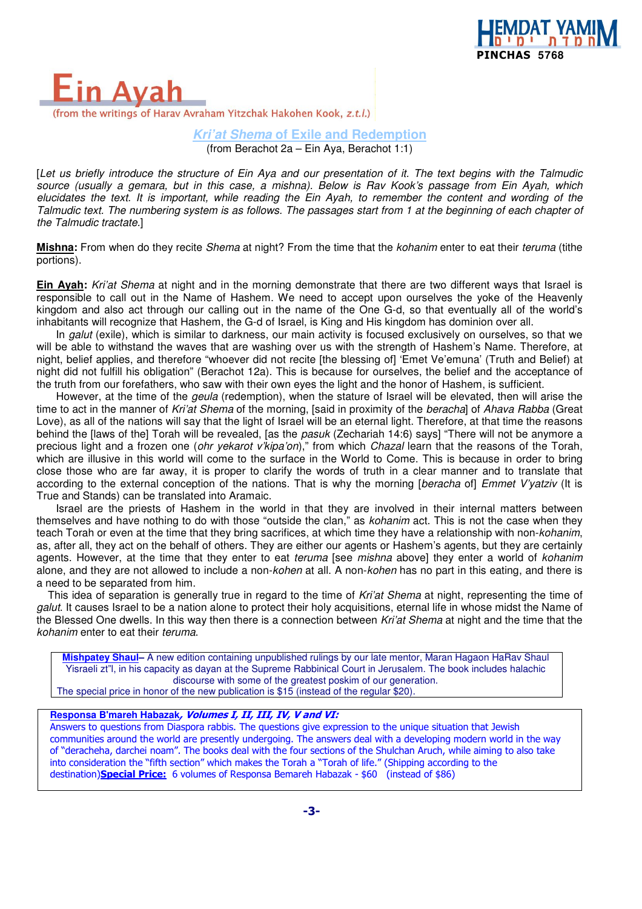

Ava (from the writings of Harav Avraham Yitzchak Hakohen Kook, z.t.l.)

> **Kri'at Shema of Exile and Redemption** (from Berachot 2a – Ein Aya, Berachot 1:1)

[Let us briefly introduce the structure of Ein Aya and our presentation of it. The text begins with the Talmudic source (usually a gemara, but in this case, a mishna). Below is Rav Kook's passage from Ein Ayah, which elucidates the text. It is important, while reading the Ein Ayah, to remember the content and wording of the Talmudic text. The numbering system is as follows. The passages start from 1 at the beginning of each chapter of the Talmudic tractate.]

**Mishna:** From when do they recite Shema at night? From the time that the kohanim enter to eat their teruma (tithe portions).

**Ein Ayah:** Kri'at Shema at night and in the morning demonstrate that there are two different ways that Israel is responsible to call out in the Name of Hashem. We need to accept upon ourselves the yoke of the Heavenly kingdom and also act through our calling out in the name of the One G-d, so that eventually all of the world's inhabitants will recognize that Hashem, the G-d of Israel, is King and His kingdom has dominion over all.

In galut (exile), which is similar to darkness, our main activity is focused exclusively on ourselves, so that we will be able to withstand the waves that are washing over us with the strength of Hashem's Name. Therefore, at night, belief applies, and therefore "whoever did not recite [the blessing of] 'Emet Ve'emuna' (Truth and Belief) at night did not fulfill his obligation" (Berachot 12a). This is because for ourselves, the belief and the acceptance of the truth from our forefathers, who saw with their own eyes the light and the honor of Hashem, is sufficient.

However, at the time of the *geula* (redemption), when the stature of Israel will be elevated, then will arise the time to act in the manner of Kri'at Shema of the morning, [said in proximity of the beracha] of Ahava Rabba (Great Love), as all of the nations will say that the light of Israel will be an eternal light. Therefore, at that time the reasons behind the [laws of the] Torah will be revealed, [as the *pasuk* (Zechariah 14:6) says] "There will not be anymore a precious light and a frozen one (ohr yekarot v'kipa'on)," from which Chazal learn that the reasons of the Torah, which are illusive in this world will come to the surface in the World to Come. This is because in order to bring close those who are far away, it is proper to clarify the words of truth in a clear manner and to translate that according to the external conception of the nations. That is why the morning [beracha of] Emmet V'yatziv (It is True and Stands) can be translated into Aramaic.

Israel are the priests of Hashem in the world in that they are involved in their internal matters between themselves and have nothing to do with those "outside the clan," as kohanim act. This is not the case when they teach Torah or even at the time that they bring sacrifices, at which time they have a relationship with non-kohanim, as, after all, they act on the behalf of others. They are either our agents or Hashem's agents, but they are certainly agents. However, at the time that they enter to eat *teruma* [see mishna above] they enter a world of kohanim alone, and they are not allowed to include a non-kohen at all. A non-kohen has no part in this eating, and there is a need to be separated from him.

This idea of separation is generally true in regard to the time of Kri'at Shema at night, representing the time of galut. It causes Israel to be a nation alone to protect their holy acquisitions, eternal life in whose midst the Name of the Blessed One dwells. In this way then there is a connection between Kri'at Shema at night and the time that the kohanim enter to eat their teruma.

**Mishpatey Shaul–** A new edition containing unpublished rulings by our late mentor, Maran Hagaon HaRav Shaul Yisraeli zt"l, in his capacity as dayan at the Supreme Rabbinical Court in Jerusalem. The book includes halachic discourse with some of the greatest poskim of our generation. The special price in honor of the new publication is \$15 (instead of the regular \$20).

#### **Responsa B'mareh Habazak**, Volumes I, II, III, IV, V and VI:

Answers to questions from Diaspora rabbis. The questions give expression to the unique situation that Jewish communities around the world are presently undergoing. The answers deal with a developing modern world in the way of "deracheha, darchei noam". The books deal with the four sections of the Shulchan Aruch, while aiming to also take into consideration the "fifth section" which makes the Torah a "Torah of life." (Shipping according to the destination)**Special Price:** 6 volumes of Responsa Bemareh Habazak - \$60 (instead of \$86)